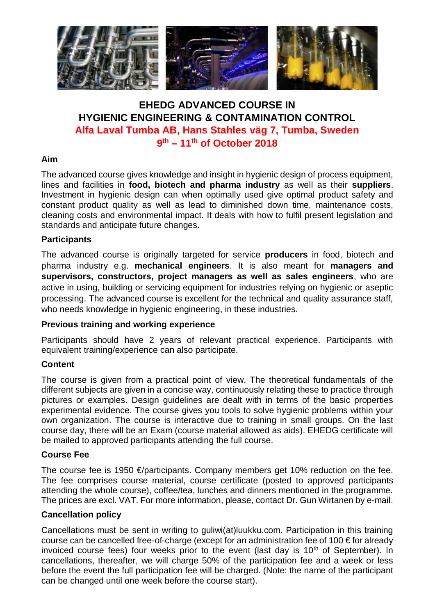

# **EHEDG ADVANCED COURSE IN HYGIENIC ENGINEERING & CONTAMINATION CONTROL Alfa Laval Tumba AB, Hans Stahles väg 7, Tumba, Sweden 9 th – 11th of October 2018**

## **Aim**

The advanced course gives knowledge and insight in hygienic design of process equipment, lines and facilities in **food, biotech and pharma industry** as well as their **suppliers**. Investment in hygienic design can when optimally used give optimal product safety and constant product quality as well as lead to diminished down time, maintenance costs, cleaning costs and environmental impact. It deals with how to fulfil present legislation and standards and anticipate future changes.

## **Participants**

The advanced course is originally targeted for service **producers** in food, biotech and pharma industry e.g. **mechanical engineers**. It is also meant for **managers and supervisors, constructors, project managers as well as sales engineers**, who are active in using, building or servicing equipment for industries relying on hygienic or aseptic processing. The advanced course is excellent for the technical and quality assurance staff, who needs knowledge in hygienic engineering, in these industries.

## **Previous training and working experience**

Participants should have 2 years of relevant practical experience. Participants with equivalent training/experience can also participate.

## **Content**

The course is given from a practical point of view. The theoretical fundamentals of the different subjects are given in a concise way, continuously relating these to practice through pictures or examples. Design guidelines are dealt with in terms of the basic properties experimental evidence. The course gives you tools to solve hygienic problems within your own organization. The course is interactive due to training in small groups. On the last course day, there will be an Exam (course material allowed as aids). EHEDG certificate will be mailed to approved participants attending the full course.

## **Course Fee**

The course fee is 1950  $\epsilon$ /participants. Company members get 10% reduction on the fee. The fee comprises course material, course certificate (posted to approved participants attending the whole course), coffee/tea, lunches and dinners mentioned in the programme. The prices are excl. VAT. For more information, please, contact Dr. Gun Wirtanen by e-mail.

## **Cancellation policy**

Cancellations must be sent in writing to guliwi(at)luukku.com. Participation in this training course can be cancelled free-of-charge (except for an administration fee of 100 € for already invoiced course fees) four weeks prior to the event (last day is  $10<sup>th</sup>$  of September). In cancellations, thereafter, we will charge 50% of the participation fee and a week or less before the event the full participation fee will be charged. (Note: the name of the participant can be changed until one week before the course start).